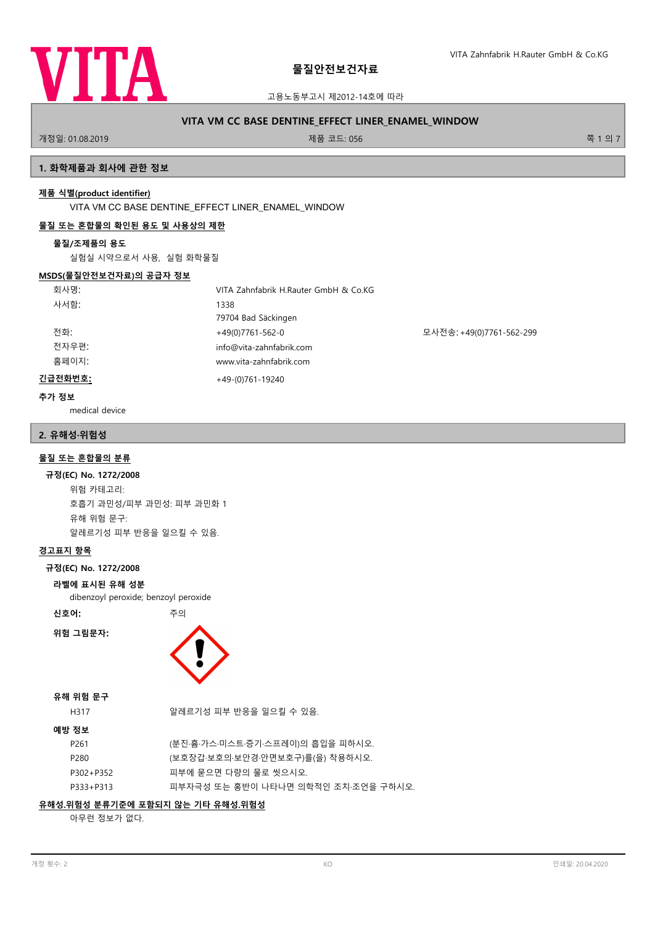

고용노동부고시 제2012-14호에 따라

# **VITA VM CC BASE DENTINE\_EFFECT LINER\_ENAMEL\_WINDOW**

개정일: 01.08.2019 제품 코드: 056 쪽 1 의 7

## **1. 화학제품과 회사에 관한 정보**

## **제품 식별(product identifier)**

VITA VM CC BASE DENTINE\_EFFECT LINER\_ENAMEL\_WINDOW

# **물질 또는 혼합물의 확인된 용도 및 사용상의 제한**

#### **물질/조제품의 용도**

실험실 시약으로서 사용, 실험 화학물질

#### **MSDS(물질안전보건자료)의 공급자 정보**

| 회사명:    | VITA Zahnfabrik H.Rauter GmbH & Co.KG |                          |
|---------|---------------------------------------|--------------------------|
| 사서함:    | 1338                                  |                          |
|         | 79704 Bad Säckingen                   |                          |
| 전화:     | +49(0)7761-562-0                      | 모사전송: +49(0)7761-562-299 |
| 전자우편:   | info@vita-zahnfabrik.com              |                          |
| 홈페이지:   | www.vita-zahnfabrik.com               |                          |
| 긴급전화번호: | $+49-(0)761-19240$                    |                          |

### **추가 정보**

medical device

## **2. 유해성·위험성**

## **물질 또는 혼합물의 분류**

#### **규정(EC) No. 1272/2008**

위험 카테고리: 호흡기 과민성/피부 과민성: 피부 과민화 1 유해 위험 문구: 알레르기성 피부 반응을 일으킬 수 있음.

## **경고표지 항목**

## **규정(EC) No. 1272/2008**

#### **라벨에 표시된 유해 성분**

dibenzoyl peroxide; benzoyl peroxide

**신호어:** 주의

**위험 그림문자:**



# **유해 위험 문구**

H317 2010 - 아이프 알레르기성 피부 반응을 일으킬 수 있음.

# **예방 정보**

| P261      | (분진 흄 가스 미스트 증기 스프레이)의 흡입을 피하시오.    |
|-----------|-------------------------------------|
| P280      | (보호장갑‧보호의‧보안경‧안면보호구)를(을) 착용하시오.     |
| P302+P352 | 피부에 묻으면 다량의 물로 씻으시오.                |
| P333+P313 | 피부자극성 또는 홍반이 나타나면 의학적인 조치 조언을 구하시오. |
|           |                                     |

# **유해성.위험성 분류기준에 포함되지 않는 기타 유해성.위험성**

아무런 정보가 없다.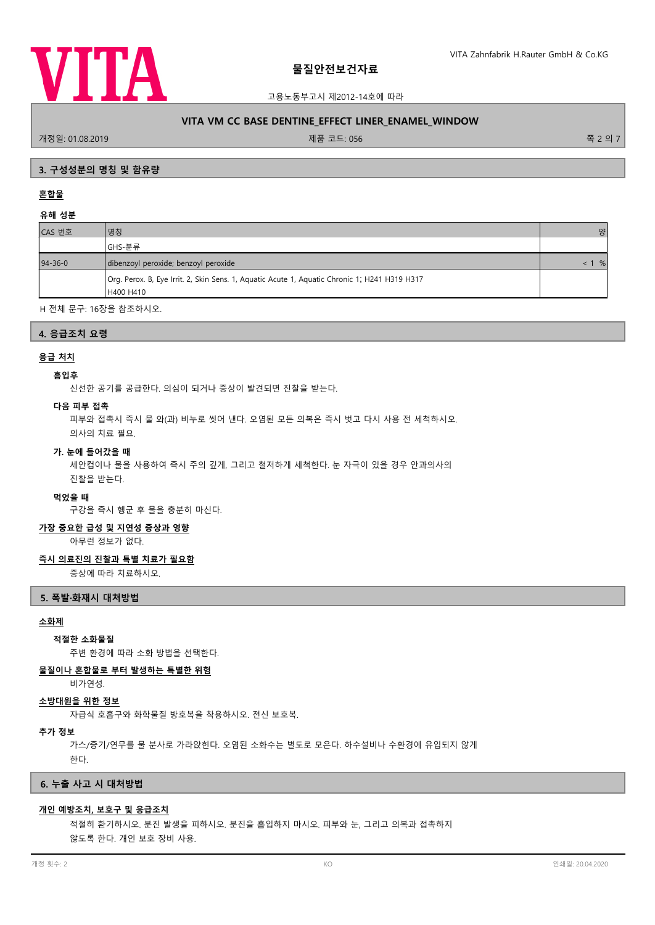

고용노동부고시 제2012-14호에 따라

## **VITA VM CC BASE DENTINE\_EFFECT LINER\_ENAMEL\_WINDOW**

개정일: 01.08.2019 제품 코드: 056 쪽 2 의 7

## **3. 구성성분의 명칭 및 함유량**

# **혼합물**

## **유해 성분**

| 명칭                                                                                            | 양             |
|-----------------------------------------------------------------------------------------------|---------------|
| GHS-분류                                                                                        |               |
| dibenzoyl peroxide; benzoyl peroxide                                                          | %<br>$\leq$ 1 |
| Org. Perox. B, Eye Irrit. 2, Skin Sens. 1, Aquatic Acute 1, Aquatic Chronic 1; H241 H319 H317 |               |
| H400 H410                                                                                     |               |
|                                                                                               |               |

H 전체 문구: 16장을 참조하시오.

## **4. 응급조치 요령**

## **응급 처치**

### **흡입후**

신선한 공기를 공급한다. 의심이 되거나 증상이 발견되면 진찰을 받는다.

#### **다음 피부 접촉**

피부와 접촉시 즉시 물 와(과) 비누로 씻어 낸다. 오염된 모든 의복은 즉시 벗고 다시 사용 전 세척하시오.

의사의 치료 필요.

#### **가. 눈에 들어갔을 때**

세안컵이나 물을 사용하여 즉시 주의 깊게, 그리고 철저하게 세척한다. 눈 자극이 있을 경우 안과의사의 진찰을 받는다.

#### **먹었을 때**

구강을 즉시 헹군 후 물을 충분히 마신다.

## **가장 중요한 급성 및 지연성 증상과 영향**

아무런 정보가 없다.

#### **즉시 의료진의 진찰과 특별 치료가 필요함**

증상에 따라 치료하시오.

#### **5. 폭발·화재시 대처방법**

#### **소화제**

## **적절한 소화물질**

주변 환경에 따라 소화 방법을 선택한다.

### **물질이나 혼합물로 부터 발생하는 특별한 위험**

비가연성.

#### **소방대원을 위한 정보**

자급식 호흡구와 화학물질 방호복을 착용하시오. 전신 보호복.

### **추가 정보**

가스/증기/연무를 물 분사로 가라앉힌다. 오염된 소화수는 별도로 모은다. 하수설비나 수환경에 유입되지 않게

한다.

#### **6. 누출 사고 시 대처방법**

#### **개인 예방조치, 보호구 및 응급조치**

적절히 환기하시오. 분진 발생을 피하시오. 분진을 흡입하지 마시오. 피부와 눈, 그리고 의복과 접촉하지 않도록 한다. 개인 보호 장비 사용.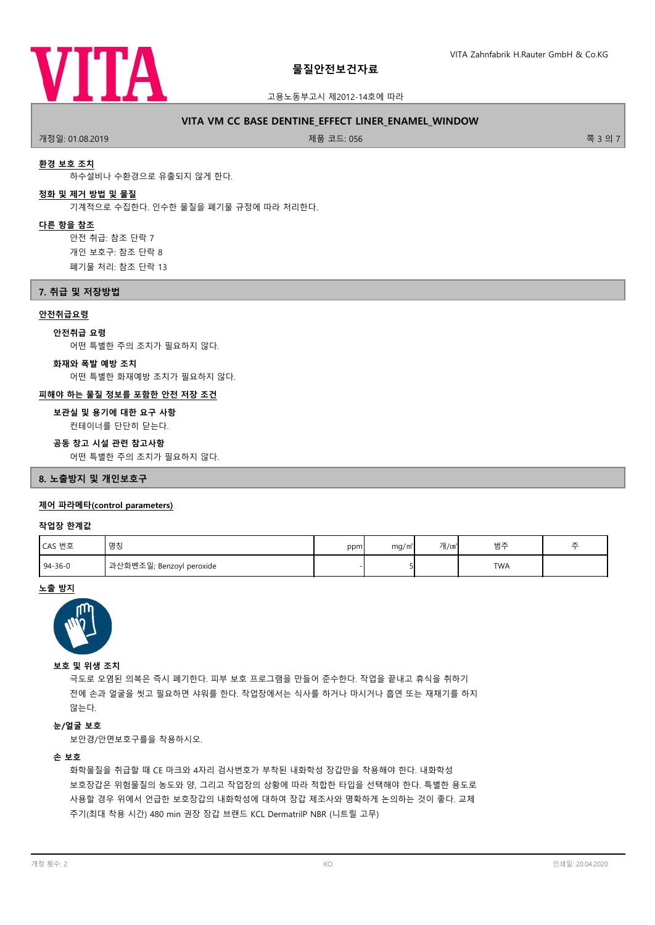

### 고용노동부고시 제2012-14호에 따라

## **VITA VM CC BASE DENTINE\_EFFECT LINER\_ENAMEL\_WINDOW**

개정일: 01.08.2019 제품 코드: 056 쪽 3 의 7

## **환경 보호 조치**

하수설비나 수환경으로 유출되지 않게 한다.

#### **정화 및 제거 방법 및 물질**

기계적으로 수집한다. 인수한 물질을 폐기물 규정에 따라 처리한다.

#### **다른 항을 참조**

안전 취급: 참조 단락 7 개인 보호구: 참조 단락 8 폐기물 처리: 참조 단락 13

# **7. 취급 및 저장방법**

# **안전취급요령**

**안전취급 요령**

어떤 특별한 주의 조치가 필요하지 않다.

#### **화재와 폭발 예방 조치**

어떤 특별한 화재예방 조치가 필요하지 않다.

## **피해야 하는 물질 정보를 포함한 안전 저장 조건**

**보관실 및 용기에 대한 요구 사항**

컨테이너를 단단히 닫는다.

#### **공동 창고 시설 관련 참고사항**

어떤 특별한 주의 조치가 필요하지 않다.

### **8. 노출방지 및 개인보호구**

## **제어 파라메타(control parameters)**

#### **작업장 한계값**

| CAS 번호        | 명칭                       | ppm | mq/m <sup>3</sup> | 개/㎝ | 범주         | 츠 |
|---------------|--------------------------|-----|-------------------|-----|------------|---|
| $94 - 36 - 0$ | 과산화벤조일; Benzoyl peroxide |     |                   |     | <b>TWA</b> |   |

## **노출 방지**



#### **보호 및 위생 조치**

극도로 오염된 의복은 즉시 폐기한다. 피부 보호 프로그램을 만들어 준수한다. 작업을 끝내고 휴식을 취하기 전에 손과 얼굴을 씻고 필요하면 샤워를 한다. 작업장에서는 식사를 하거나 마시거나 흡연 또는 재채기를 하지 않는다.

# **눈/얼굴 보호**

보안경/안면보호구를을 착용하시오.

## **손 보호**

화학물질을 취급할 때 CE 마크와 4자리 검사번호가 부착된 내화학성 장갑만을 착용해야 한다. 내화학성 보호장갑은 위험물질의 농도와 양, 그리고 작업장의 상황에 따라 적합한 타입을 선택해야 한다. 특별한 용도로 사용할 경우 위에서 언급한 보호장갑의 내화학성에 대하여 장갑 제조사와 명확하게 논의하는 것이 좋다. 교체 주기(최대 착용 시간) 480 min 권장 장갑 브랜드 KCL DermatrilP NBR (니트릴 고무)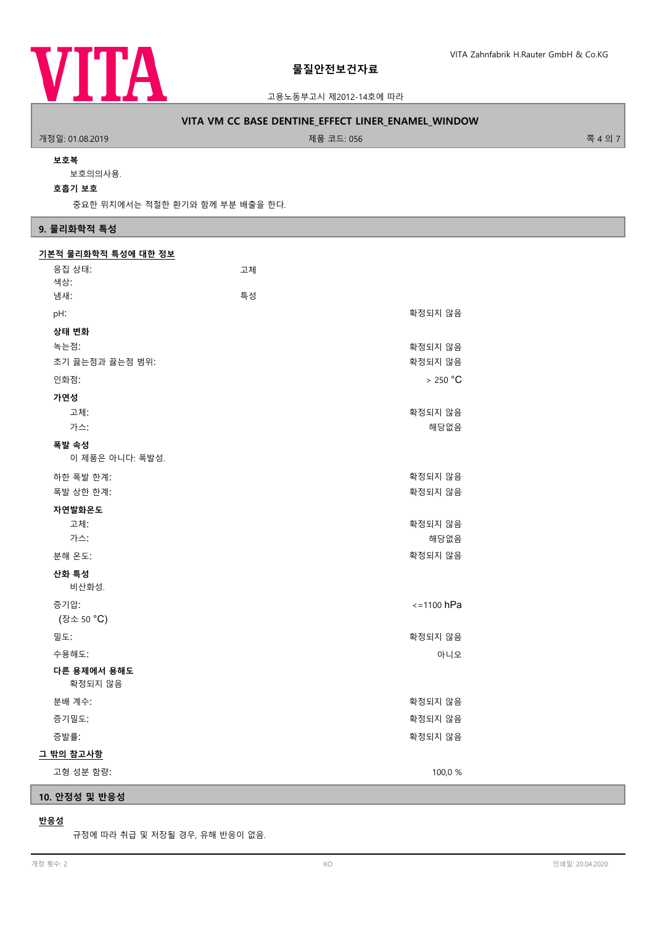

고용노동부고시 제2012-14호에 따라

# **VITA VM CC BASE DENTINE\_EFFECT LINER\_ENAMEL\_WINDOW**

개정일: 01.08.2019 제품 코드: 056 쪽 4 의 7

### **보호복**

보호의의사용.

**호흡기 보호**

중요한 위치에서는 적절한 환기와 함께 부분 배출을 한다.

# **9. 물리화학적 특성**

| 기본적 물리화학적 특성에 대한 정보    |    |                 |  |
|------------------------|----|-----------------|--|
| 응집 상태:                 | 고체 |                 |  |
| 색상:                    |    |                 |  |
| 냄새:                    | 특성 |                 |  |
| pH:                    |    | 확정되지 않음         |  |
| 상태 변화                  |    |                 |  |
| 녹는점:                   |    | 확정되지 않음         |  |
| 초기 끓는점과 끓는점 범위:        |    | 확정되지 않음         |  |
| 인화점:                   |    | >250 °C         |  |
| 가연성                    |    |                 |  |
| 고체:                    |    | 확정되지 않음         |  |
| 가스:                    |    | 해당없음            |  |
| 폭발 속성                  |    |                 |  |
| 이 제품은 아니다: 폭발성.        |    |                 |  |
| 하한 폭발 한계:              |    | 확정되지 않음         |  |
| 폭발 상한 한계:              |    | 확정되지 않음         |  |
| 자연발화온도                 |    |                 |  |
| 고체:                    |    | 확정되지 않음         |  |
| 가스:                    |    | 해당없음            |  |
| 분해 온도:                 |    | 확정되지 않음         |  |
| 산화 특성                  |    |                 |  |
| 비산화성.                  |    |                 |  |
| 증기압:                   |    | $\le$ =1100 hPa |  |
| (장소 50 °C)             |    |                 |  |
| 밀도:                    |    | 확정되지 않음         |  |
| 수용해도:                  |    | 아니오             |  |
| 다른 용제에서 용해도<br>확정되지 않음 |    |                 |  |
| 분배 계수:                 |    | 확정되지 않음         |  |
| 증기밀도:                  |    | 확정되지 않음         |  |
| 증발률:                   |    | 확정되지 않음         |  |
| 그 밖의 참고사항              |    |                 |  |
| 고형 성분 함량:              |    | 100,0 %         |  |

# **10. 안정성 및 반응성**

## **반응성**

규정에 따라 취급 및 저장될 경우, 유해 반응이 없음.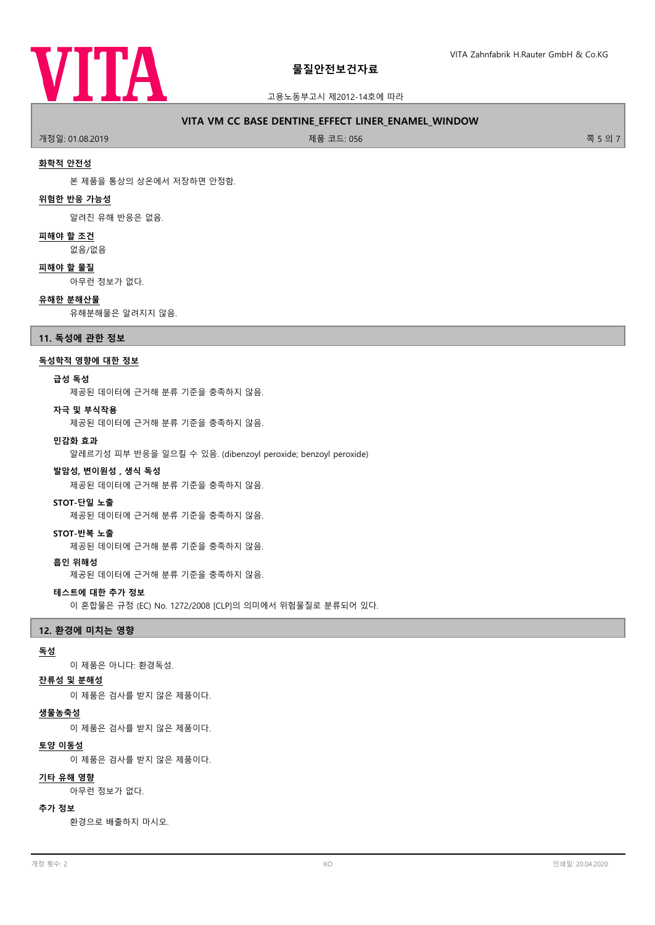

### 고용노동부고시 제2012-14호에 따라

## **VITA VM CC BASE DENTINE\_EFFECT LINER\_ENAMEL\_WINDOW**

개정일: 01.08.2019 제품 코드: 056 쪽 5 의 7

#### **화학적 안전성**

본 제품을 통상의 상온에서 저장하면 안정함.

## **위험한 반응 가능성**

알려진 유해 반응은 없음.

#### **피해야 할 조건**

없음/없음

## **피해야 할 물질**

아무런 정보가 없다.

#### **유해한 분해산물**

유해분해물은 알려지지 않음.

## **11. 독성에 관한 정보**

### **독성학적 영향에 대한 정보**

#### **급성 독성**

제공된 데이터에 근거해 분류 기준을 충족하지 않음.

#### **자극 및 부식작용**

제공된 데이터에 근거해 분류 기준을 충족하지 않음.

#### **민감화 효과**

알레르기성 피부 반응을 일으킬 수 있음. (dibenzoyl peroxide; benzoyl peroxide)

#### **발암성, 변이원성 , 생식 독성**

제공된 데이터에 근거해 분류 기준을 충족하지 않음.

#### **STOT-단일 노출**

제공된 데이터에 근거해 분류 기준을 충족하지 않음.

#### **STOT-반복 노출**

제공된 데이터에 근거해 분류 기준을 충족하지 않음.

#### **흡인 위해성**

제공된 데이터에 근거해 분류 기준을 충족하지 않음.

## **테스트에 대한 추가 정보**

이 혼합물은 규정 (EC) No. 1272/2008 [CLP]의 의미에서 위험물질로 분류되어 있다.

### **12. 환경에 미치는 영향**

#### **독성**

이 제품은 아니다: 환경독성.

### **잔류성 및 분해성**

이 제품은 검사를 받지 않은 제품이다.

#### **생물농축성**

이 제품은 검사를 받지 않은 제품이다.

## **토양 이동성**

이 제품은 검사를 받지 않은 제품이다.

## **기타 유해 영향**

아무런 정보가 없다.

#### **추가 정보**

환경으로 배출하지 마시오.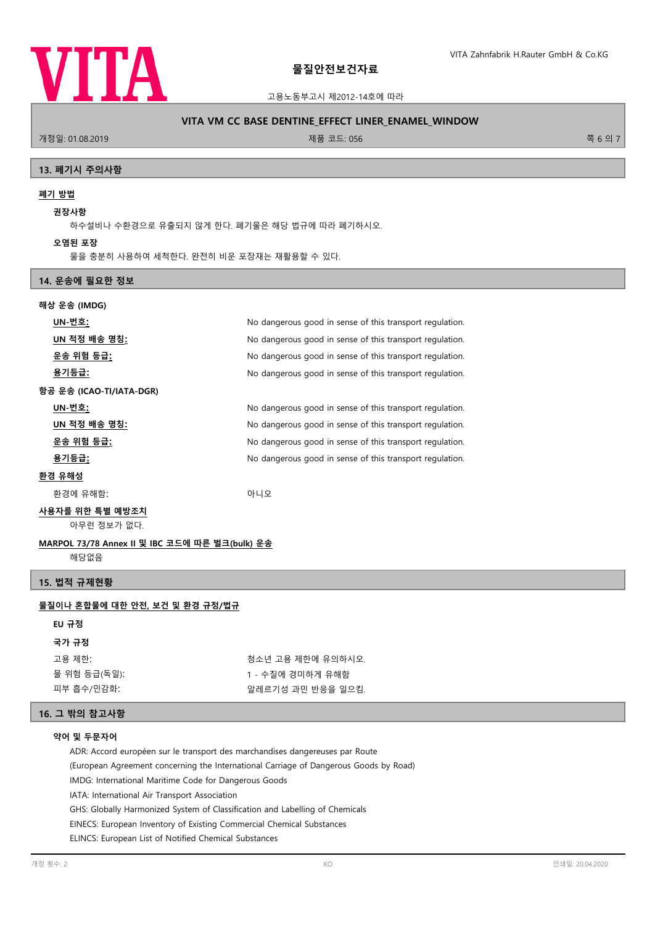

고용노동부고시 제2012-14호에 따라

## **VITA VM CC BASE DENTINE\_EFFECT LINER\_ENAMEL\_WINDOW**

.<br>개정일: 01.08.2019 제품 코드: 056 쪽 6 의 7

### **13. 폐기시 주의사항**

# **폐기 방법**

**권장사항**

하수설비나 수환경으로 유출되지 않게 한다. 폐기물은 해당 법규에 따라 폐기하시오.

**오염된 포장**

물을 충분히 사용하여 세척한다. 완전히 비운 포장재는 재활용할 수 있다.

# **14. 운송에 필요한 정보**

| 해상 운송 (IMDG)             |                                                          |  |
|--------------------------|----------------------------------------------------------|--|
| UN-번호:                   | No dangerous good in sense of this transport regulation. |  |
| UN 적정 배송 명칭 <u>:</u>     | No dangerous good in sense of this transport regulation. |  |
| 운송 위험 등급 <u>:</u>        | No dangerous good in sense of this transport regulation. |  |
| <u>용기등급:</u>             | No dangerous good in sense of this transport regulation. |  |
| 항공 운송 (ICAO-TI/IATA-DGR) |                                                          |  |
| UN-번호:                   | No dangerous good in sense of this transport regulation. |  |
| UN 적정 배송 명칭:             | No dangerous good in sense of this transport regulation. |  |
| 운송 위험 등급 <u>:</u>        | No dangerous good in sense of this transport regulation. |  |
| 용기등급:                    | No dangerous good in sense of this transport regulation. |  |
| 환경 유해성                   |                                                          |  |
| 환경에 유해함:                 | 아니오                                                      |  |
|                          |                                                          |  |

## **사용자를 위한 특별 예방조치**

아무런 정보가 없다.

# **MARPOL 73/78 Annex II 및 IBC 코드에 따른 벌크(bulk) 운송**

해당없음

## **15. 법적 규제현황**

# **물질이나 혼합물에 대한 안전, 보건 및 환경 규정/법규**

### **EU 규정**

# **국가 규정**

| 고용 제한:       |
|--------------|
| 물 위험 등급(독일): |
| 피부 흡수/민감화:   |

청소년 고용 제한에 유의하시오. 1 - 수질에 경미하게 유해함 알레르기성 과민 반응을 일으킴.

# **16. 그 밖의 참고사항**

#### **약어 및 두문자어**

ADR: Accord européen sur le transport des marchandises dangereuses par Route

(European Agreement concerning the International Carriage of Dangerous Goods by Road)

IMDG: International Maritime Code for Dangerous Goods

IATA: International Air Transport Association

GHS: Globally Harmonized System of Classification and Labelling of Chemicals

EINECS: European Inventory of Existing Commercial Chemical Substances

ELINCS: European List of Notified Chemical Substances